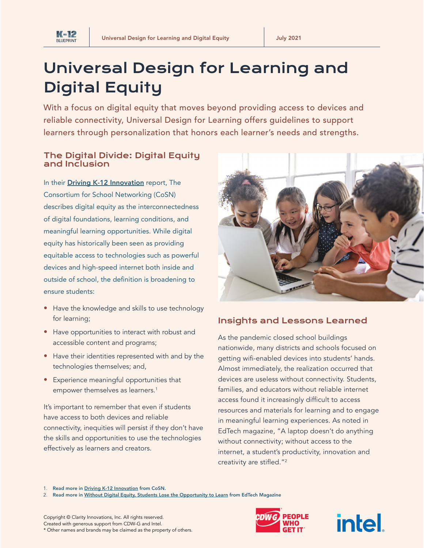

# Universal Design for Learning and Digital Equity

With a focus on digital equity that moves beyond providing access to devices and reliable connectivity, Universal Design for Learning offers guidelines to support learners through personalization that honors each learner's needs and strengths.

# The Digital Divide: Digital Equity and Inclusion

In their **[Driving K-12 Innovation](https://cosn.org/k12innovation)** report, The Consortium for School Networking (CoSN) describes digital equity as the interconnectedness of digital foundations, learning conditions, and meaningful learning opportunities. While digital equity has historically been seen as providing equitable access to technologies such as powerful devices and high-speed internet both inside and outside of school, the definition is broadening to ensure students:

- Have the knowledge and skills to use technology for learning;
- Have opportunities to interact with robust and accessible content and programs;
- Have their identities represented with and by the technologies themselves; and,
- Experience meaningful opportunities that empower themselves as learners.<sup>1</sup>

It's important to remember that even if students have access to both devices and reliable connectivity, inequities will persist if they don't have the skills and opportunities to use the technologies effectively as learners and creators.



# Insights and Lessons Learned

As the pandemic closed school buildings nationwide, many districts and schools focused on getting wifi-enabled devices into students' hands. Almost immediately, the realization occurred that devices are useless without connectivity. Students, families, and educators without reliable internet access found it increasingly difficult to access resources and materials for learning and to engage in meaningful learning experiences. As noted in EdTech magazine, "A laptop doesn't do anything without connectivity; without access to the internet, a student's productivity, innovation and creativity are stifled."<sup>2</sup>

1. Read more in [Driving K-12 Innovation](https://cosn.org/k12innovation) from CoSN.

2. Read more in [Without Digital Equity, Students Lose the Opportunity to Learn](https://edtechmagazine.com/k12/article/2021/06/without-digital-equity-students-lose-opportunity-learn) from EdTech Magazine



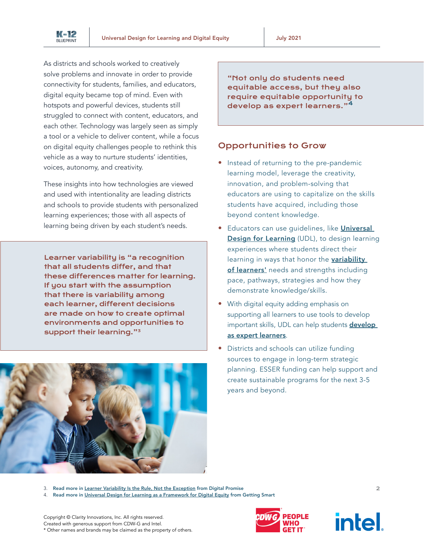

As districts and schools worked to creatively solve problems and innovate in order to provide connectivity for students, families, and educators, digital equity became top of mind. Even with hotspots and powerful devices, students still struggled to connect with content, educators, and each other. Technology was largely seen as simply a tool or a vehicle to deliver content, while a focus on digital equity challenges people to rethink this vehicle as a way to nurture students' identities, voices, autonomy, and creativity.

These insights into how technologies are viewed and used with intentionality are leading districts and schools to provide students with personalized learning experiences; those with all aspects of learning being driven by each student's needs.

Learner variability is "a recognition that all students differ, and that these differences matter for learning. If you start with the assumption that there is variability among each learner, different decisions are made on how to create optimal environments and opportunities to support their learning."<sup>3</sup>



"Not only do students need equitable access, but they also require equitable opportunity to develop as expert learners."<sup>4</sup>

# Opportunities to Grow

- Instead of returning to the pre-pandemic learning model, leverage the creativity, innovation, and problem-solving that educators are using to capitalize on the skills students have acquired, including those beyond content knowledge.
- Educators can use guidelines, like *Universal* [Design for Learning](https://www.novakeducation.com/hubfs/UDL_ImplementationRubric_MelissaToland.pdf) (UDL), to design learning experiences where students direct their learning in ways that honor the variability [of learners'](https://digitalpromise.org/wp-content/uploads/2018/06/Learner-Variability-Is-The-Rule.pdf) needs and strengths including pace, pathways, strategies and how they demonstrate knowledge/skills.
- With digital equity adding emphasis on supporting all learners to use tools to develop important skills, UDL can help students **develop** [as expert learners](https://www.novakeducation.com/hubfs/Resources/UDL_FlowChart.pdf).
- Districts and schools can utilize funding sources to engage in long-term strategic planning. ESSER funding can help support and create sustainable programs for the next 3-5 years and beyond.

3. Read more in [Learner Variability Is the Rule, Not the Exception](https://digitalpromise.org/wp-content/uploads/2018/06/Learner-Variability-Is-The-Rule.pdf) from Digital Promise

4. Read more in [Universal Design for Learning as a Framework for Digital Equity](https://www.gettingsmart.com/2019/10/universal-design-for-learning-as-a-framework-for-digital-equity/) from Getting Smart

Copyright © Clarity Innovations, Inc. All rights reserved. Created with generous support from CDW-G and Intel. \* Other names and brands may be claimed as the property of others.



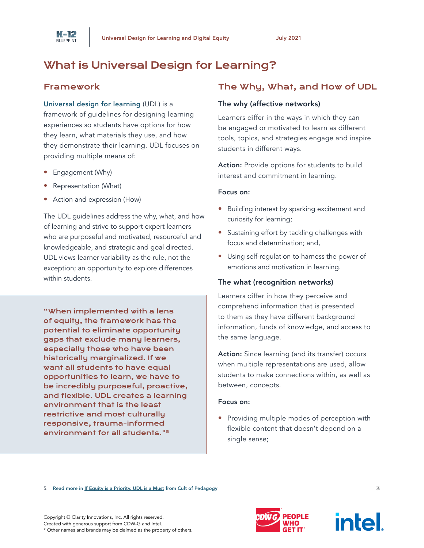

# What is Universal Design for Learning?

# Framework

[Universal design for learning](https://udlguidelines.cast.org/) (UDL) is a framework of guidelines for designing learning experiences so students have options for how they learn, what materials they use, and how they demonstrate their learning. UDL focuses on

- Engagement (Why)
- Representation (What)
- Action and expression (How)

providing multiple means of:

The UDL guidelines address the why, what, and how of learning and strive to support expert learners who are purposeful and motivated, resourceful and knowledgeable, and strategic and goal directed. UDL views learner variability as the rule, not the exception; an opportunity to explore differences within students.

"When implemented with a lens of equity, the framework has the potential to eliminate opportunity gaps that exclude many learners, especially those who have been historically marginalized. If we want all students to have equal opportunities to learn, we have to be incredibly purposeful, proactive, and flexible. UDL creates a learning environment that is the least restrictive and most culturally responsive, trauma-informed environment for all students."<sup>5</sup>

# The Why, What, and How of UDL

#### The why (affective networks)

Learners differ in the ways in which they can be engaged or motivated to learn as different tools, topics, and strategies engage and inspire students in different ways.

Action: Provide options for students to build interest and commitment in learning.

#### Focus on:

- Building interest by sparking excitement and curiosity for learning;
- Sustaining effort by tackling challenges with focus and determination; and,
- Using self-regulation to harness the power of emotions and motivation in learning.

### The what (recognition networks)

Learners differ in how they perceive and comprehend information that is presented to them as they have different background information, funds of knowledge, and access to the same language.

Action: Since learning (and its transfer) occurs when multiple representations are used, allow students to make connections within, as well as between, concepts.

#### Focus on:

• Providing multiple modes of perception with flexible content that doesn't depend on a single sense;